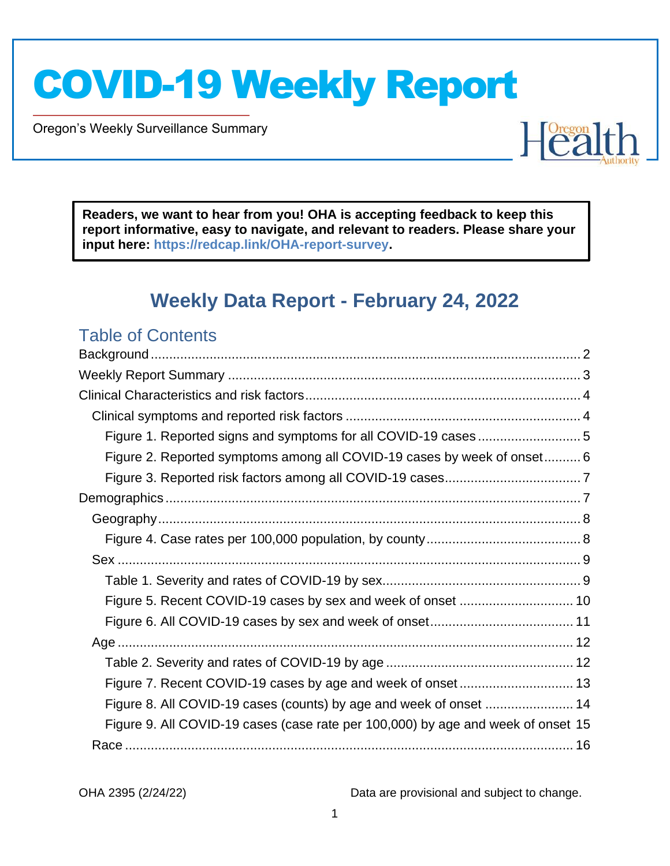Oregon's Weekly Surveillance Summary

Novel Coronavirus (COVID-19)

**Readers, we want to hear from you! OHA is accepting feedback to keep this report informative, easy to navigate, and relevant to readers. Please share your input here: [https://redcap.link/OHA-report-survey.](https://redcap.link/OHA-report-survey)**

## **Weekly Data Report - February 24, 2022**

### Table of Contents

| Figure 2. Reported symptoms among all COVID-19 cases by week of onset 6          |  |
|----------------------------------------------------------------------------------|--|
|                                                                                  |  |
|                                                                                  |  |
|                                                                                  |  |
|                                                                                  |  |
|                                                                                  |  |
|                                                                                  |  |
| Figure 5. Recent COVID-19 cases by sex and week of onset  10                     |  |
|                                                                                  |  |
|                                                                                  |  |
|                                                                                  |  |
| Figure 7. Recent COVID-19 cases by age and week of onset 13                      |  |
| Figure 8. All COVID-19 cases (counts) by age and week of onset  14               |  |
| Figure 9. All COVID-19 cases (case rate per 100,000) by age and week of onset 15 |  |
|                                                                                  |  |

OHA 2395 (2/24/22) Data are provisional and subject to change.

Healt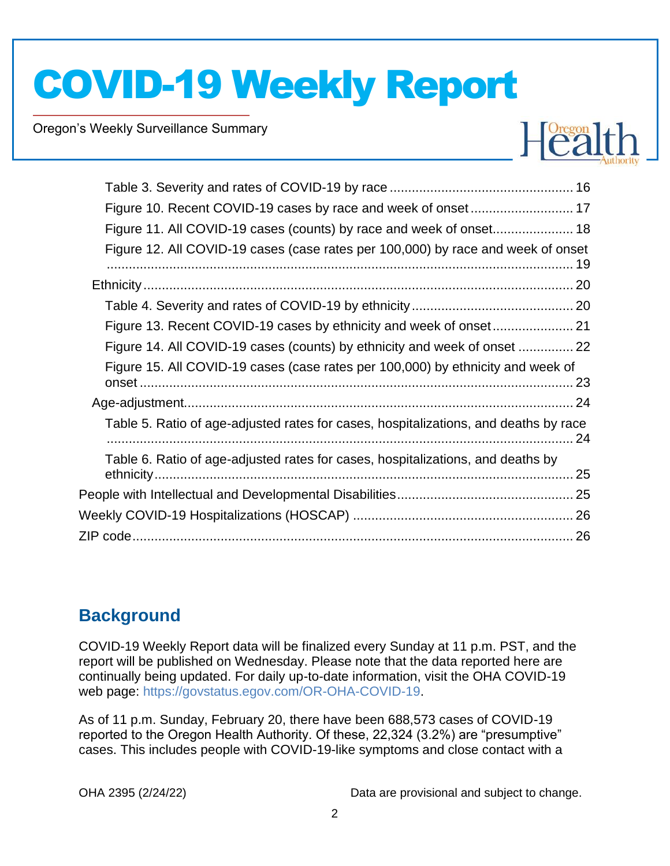Oregon's Weekly Surveillance Summary

Novel Coronavirus (COVID-19)



| Figure 10. Recent COVID-19 cases by race and week of onset 17                        |
|--------------------------------------------------------------------------------------|
| Figure 11. All COVID-19 cases (counts) by race and week of onset 18                  |
| Figure 12. All COVID-19 cases (case rates per 100,000) by race and week of onset     |
|                                                                                      |
|                                                                                      |
|                                                                                      |
| Figure 14. All COVID-19 cases (counts) by ethnicity and week of onset  22            |
| Figure 15. All COVID-19 cases (case rates per 100,000) by ethnicity and week of      |
|                                                                                      |
| Table 5. Ratio of age-adjusted rates for cases, hospitalizations, and deaths by race |
| Table 6. Ratio of age-adjusted rates for cases, hospitalizations, and deaths by      |
|                                                                                      |
|                                                                                      |
|                                                                                      |

## <span id="page-1-0"></span>**Background**

COVID-19 Weekly Report data will be finalized every Sunday at 11 p.m. PST, and the report will be published on Wednesday. Please note that the data reported here are continually being updated. For daily up-to-date information, visit the OHA COVID-19 web page: [https://govstatus.egov.com/OR-OHA-COVID-19.](https://govstatus.egov.com/OR-OHA-COVID-19)

As of 11 p.m. Sunday, February 20, there have been 688,573 cases of COVID-19 reported to the Oregon Health Authority. Of these, 22,324 (3.2%) are "presumptive" cases. This includes people with COVID-19-like symptoms and close contact with a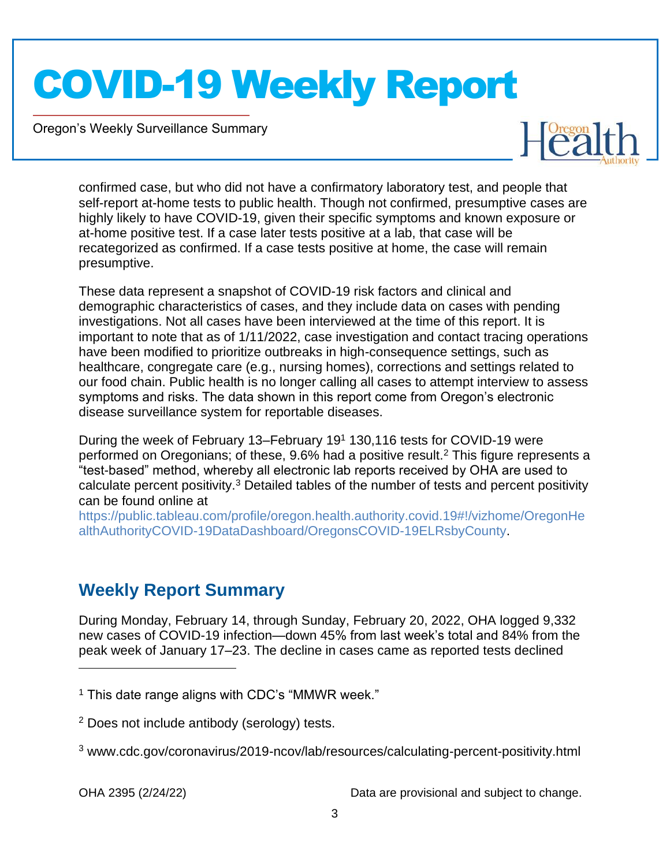Oregon's Weekly Surveillance Summary

Novel Coronavirus (COVID-19)



confirmed case, but who did not have a confirmatory laboratory test, and people that self-report at-home tests to public health. Though not confirmed, presumptive cases are highly likely to have COVID-19, given their specific symptoms and known exposure or at-home positive test. If a case later tests positive at a lab, that case will be recategorized as confirmed. If a case tests positive at home, the case will remain presumptive.

These data represent a snapshot of COVID-19 risk factors and clinical and demographic characteristics of cases, and they include data on cases with pending investigations. Not all cases have been interviewed at the time of this report. It is important to note that as of 1/11/2022, case investigation and contact tracing operations have been modified to prioritize outbreaks in high-consequence settings, such as healthcare, congregate care (e.g., nursing homes), corrections and settings related to our food chain. Public health is no longer calling all cases to attempt interview to assess symptoms and risks. The data shown in this report come from Oregon's electronic disease surveillance system for reportable diseases.

During the week of February 13–February 19<sup>1</sup> 130,116 tests for COVID-19 were performed on Oregonians; of these,  $9.6\%$  had a positive result.<sup>2</sup> This figure represents a "test-based" method, whereby all electronic lab reports received by OHA are used to calculate percent positivity.<sup>3</sup> Detailed tables of the number of tests and percent positivity can be found online at

[https://public.tableau.com/profile/oregon.health.authority.covid.19#!/vizhome/OregonHe](https://public.tableau.com/profile/oregon.health.authority.covid.19#!/vizhome/OregonHealthAuthorityCOVID-19DataDashboard/OregonsCOVID-19ELRsbyCounty) [althAuthorityCOVID-19DataDashboard/OregonsCOVID-19ELRsbyCounty.](https://public.tableau.com/profile/oregon.health.authority.covid.19#!/vizhome/OregonHealthAuthorityCOVID-19DataDashboard/OregonsCOVID-19ELRsbyCounty)

## <span id="page-2-0"></span>**Weekly Report Summary**

During Monday, February 14, through Sunday, February 20, 2022, OHA logged 9,332 new cases of COVID-19 infection—down 45% from last week's total and 84% from the peak week of January 17–23. The decline in cases came as reported tests declined

 $1$  This date range aligns with CDC's "MMWR week."

<sup>2</sup> Does not include antibody (serology) tests.

<sup>3</sup> www.cdc.gov/coronavirus/2019-ncov/lab/resources/calculating-percent-positivity.html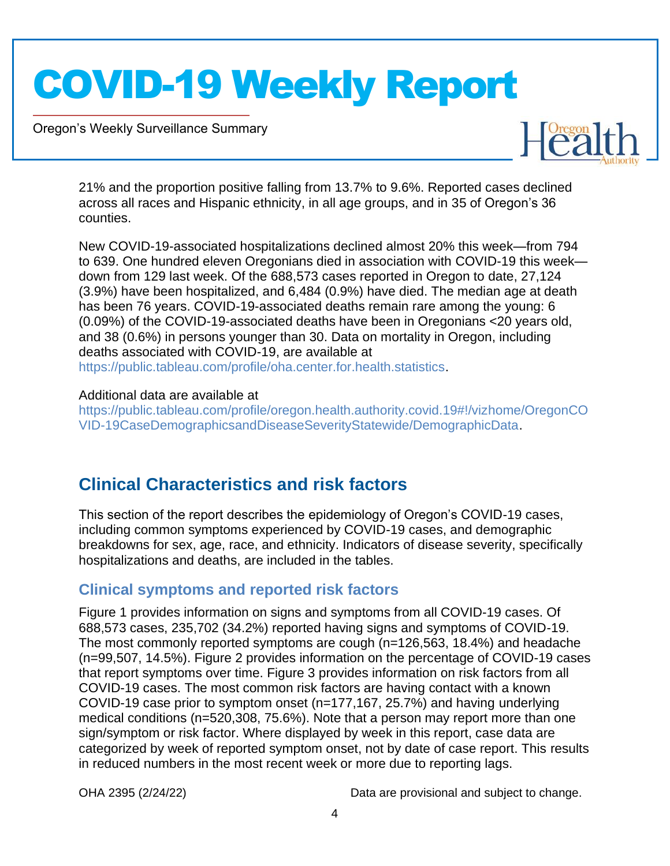Oregon's Weekly Surveillance Summary

Novel Coronavirus (COVID-19)



21% and the proportion positive falling from 13.7% to 9.6%. Reported cases declined across all races and Hispanic ethnicity, in all age groups, and in 35 of Oregon's 36 counties.

New COVID-19-associated hospitalizations declined almost 20% this week—from 794 to 639. One hundred eleven Oregonians died in association with COVID-19 this week down from 129 last week. Of the 688,573 cases reported in Oregon to date, 27,124 (3.9%) have been hospitalized, and 6,484 (0.9%) have died. The median age at death has been 76 years. COVID-19-associated deaths remain rare among the young: 6 (0.09%) of the COVID-19-associated deaths have been in Oregonians <20 years old, and 38 (0.6%) in persons younger than 30. Data on mortality in Oregon, including deaths associated with COVID-19, are available at [https://public.tableau.com/profile/oha.center.for.health.statistics.](https://public.tableau.com/profile/oha.center.for.health.statistics)

#### Additional data are available at

[https://public.tableau.com/profile/oregon.health.authority.covid.19#!/vizhome/OregonCO](https://public.tableau.com/profile/oregon.health.authority.covid.19#!/vizhome/OregonCOVID-19CaseDemographicsandDiseaseSeverityStatewide/DemographicData) [VID-19CaseDemographicsandDiseaseSeverityStatewide/DemographicData.](https://public.tableau.com/profile/oregon.health.authority.covid.19#!/vizhome/OregonCOVID-19CaseDemographicsandDiseaseSeverityStatewide/DemographicData)

## <span id="page-3-0"></span>**Clinical Characteristics and risk factors**

This section of the report describes the epidemiology of Oregon's COVID-19 cases, including common symptoms experienced by COVID-19 cases, and demographic breakdowns for sex, age, race, and ethnicity. Indicators of disease severity, specifically hospitalizations and deaths, are included in the tables.

#### <span id="page-3-1"></span>**Clinical symptoms and reported risk factors**

Figure 1 provides information on signs and symptoms from all COVID-19 cases. Of 688,573 cases, 235,702 (34.2%) reported having signs and symptoms of COVID-19. The most commonly reported symptoms are cough (n=126,563, 18.4%) and headache (n=99,507, 14.5%). Figure 2 provides information on the percentage of COVID-19 cases that report symptoms over time. Figure 3 provides information on risk factors from all COVID-19 cases. The most common risk factors are having contact with a known COVID-19 case prior to symptom onset (n=177,167, 25.7%) and having underlying medical conditions (n=520,308, 75.6%). Note that a person may report more than one sign/symptom or risk factor. Where displayed by week in this report, case data are categorized by week of reported symptom onset, not by date of case report. This results in reduced numbers in the most recent week or more due to reporting lags.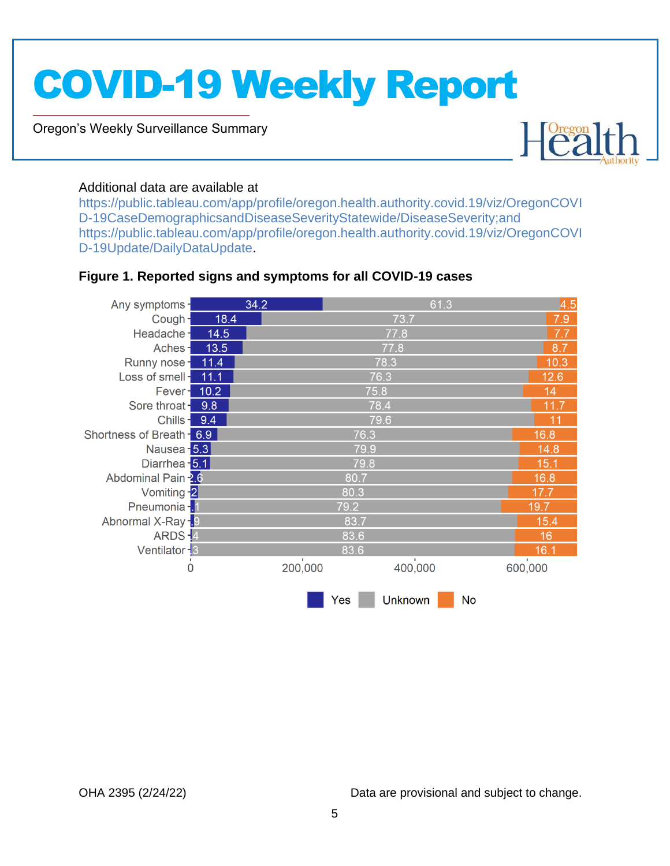Oregon's Weekly Surveillance Summary

Novel Coronavirus (COVID-19)



#### Additional data are available at

[https://public.tableau.com/app/profile/oregon.health.authority.covid.19/viz/OregonCOVI](https://public.tableau.com/app/profile/oregon.health.authority.covid.19/viz/OregonCOVID-19CaseDemographicsandDiseaseSeverityStatewide/DiseaseSeverity;and) [D-19CaseDemographicsandDiseaseSeverityStatewide/DiseaseSeverity;and](https://public.tableau.com/app/profile/oregon.health.authority.covid.19/viz/OregonCOVID-19CaseDemographicsandDiseaseSeverityStatewide/DiseaseSeverity;and) [https://public.tableau.com/app/profile/oregon.health.authority.covid.19/viz/OregonCOVI](https://public.tableau.com/app/profile/oregon.health.authority.covid.19/viz/OregonCOVID-19Update/DailyDataUpdate) [D-19Update/DailyDataUpdate.](https://public.tableau.com/app/profile/oregon.health.authority.covid.19/viz/OregonCOVID-19Update/DailyDataUpdate)

#### <span id="page-4-0"></span>**Figure 1. Reported signs and symptoms for all COVID-19 cases**

| Any symptoms-             |      | 34.2    |      | 61.3           |    | 4.5                     |  |  |
|---------------------------|------|---------|------|----------------|----|-------------------------|--|--|
| Cough-                    | 18.4 |         |      | 73.7           |    | 7.9                     |  |  |
| Headache-                 | 14.5 |         | 77.8 |                |    |                         |  |  |
| Aches-                    | 13.5 |         | 77.8 |                |    |                         |  |  |
| Runny nose-               | 11.4 |         |      | 78.3           |    | 10.3                    |  |  |
| Loss of smell-            | 11.1 |         |      | 76.3           |    | 12.6                    |  |  |
| Fever-                    | 10.2 |         | 75.8 |                |    | 14                      |  |  |
| Sore throat-              | 9.8  |         |      | 78.4           |    | 11.7                    |  |  |
| Chills-                   | 9.4  |         |      | 79.6           |    | 11                      |  |  |
| Shortness of Breath - 6.9 |      |         | 76.3 |                |    | 16.8                    |  |  |
| Nausea - 5.3              |      |         | 79.9 |                |    | 14.8                    |  |  |
| Diarrhea - 5.1            |      |         | 15.1 |                |    |                         |  |  |
| Abdominal Pain 2.6        |      |         | 80.7 |                |    |                         |  |  |
| Vomiting -2               |      |         | 80.3 |                |    |                         |  |  |
| Pneumonia - 1             |      |         | 79.2 |                |    | 19.7                    |  |  |
| Abnormal X-Ray-9          |      |         | 83.7 |                |    |                         |  |  |
| $ARDS - 4$                |      |         | 83.6 |                |    | 16                      |  |  |
| Ventilator - 3            |      |         | 83.6 |                |    | 16.1                    |  |  |
| $\mathbf 0$               |      | 200,000 |      | 400,000        |    | $\mathbf{I}$<br>600,000 |  |  |
|                           |      |         | Yes  | <b>Unknown</b> | No |                         |  |  |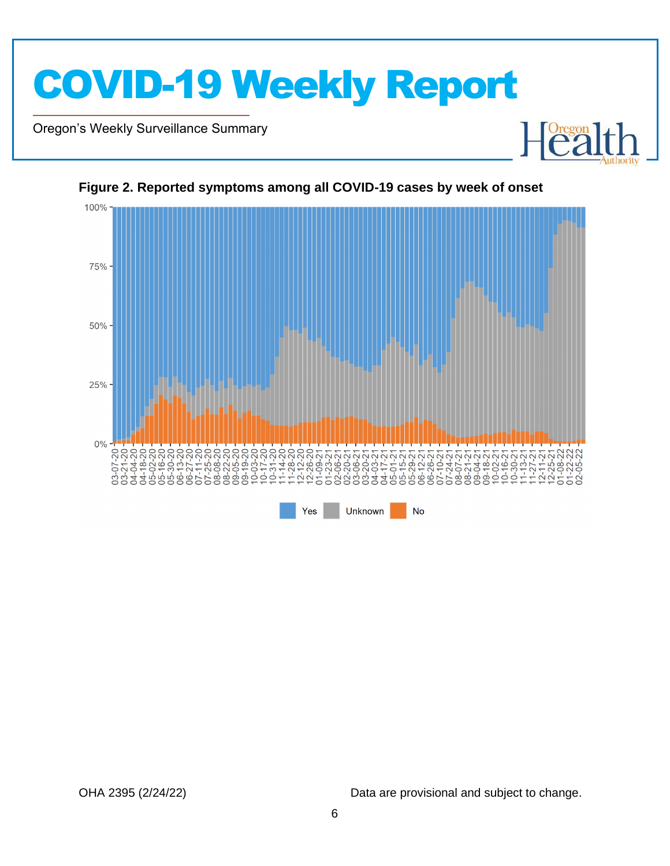

Oregon's Weekly Surveillance Summary

Novel Coronavirus (COVID-19)



#### <span id="page-5-0"></span>**Figure 2. Reported symptoms among all COVID-19 cases by week of onset**

OHA 2395 (2/24/22) Data are provisional and subject to change.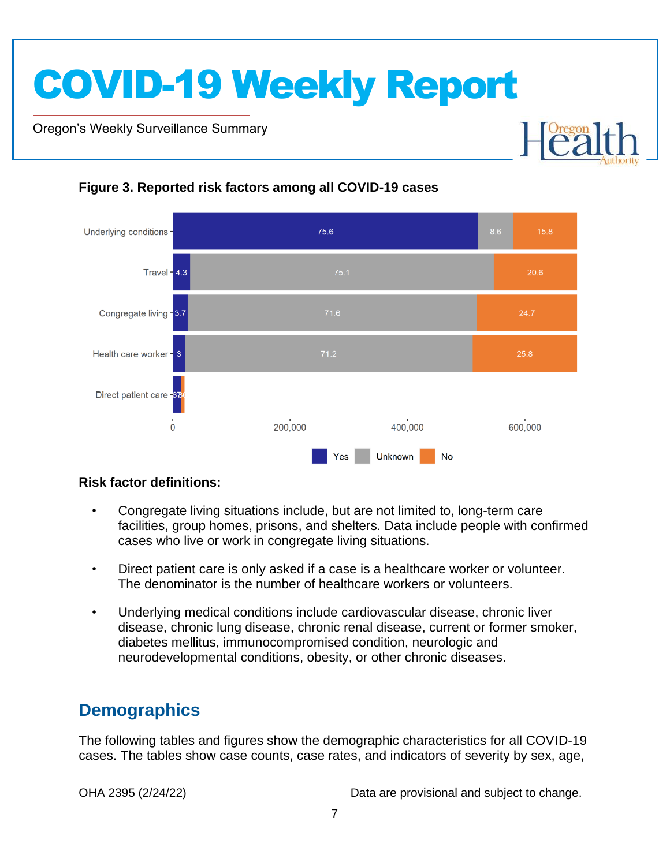Oregon's Weekly Surveillance Summary

Novel Coronavirus (COVID-19)



#### <span id="page-6-0"></span>**Figure 3. Reported risk factors among all COVID-19 cases**

#### **Risk factor definitions:**

- Congregate living situations include, but are not limited to, long-term care facilities, group homes, prisons, and shelters. Data include people with confirmed cases who live or work in congregate living situations.
- Direct patient care is only asked if a case is a healthcare worker or volunteer. The denominator is the number of healthcare workers or volunteers.
- Underlying medical conditions include cardiovascular disease, chronic liver disease, chronic lung disease, chronic renal disease, current or former smoker, diabetes mellitus, immunocompromised condition, neurologic and neurodevelopmental conditions, obesity, or other chronic diseases.

## <span id="page-6-1"></span>**Demographics**

The following tables and figures show the demographic characteristics for all COVID-19 cases. The tables show case counts, case rates, and indicators of severity by sex, age,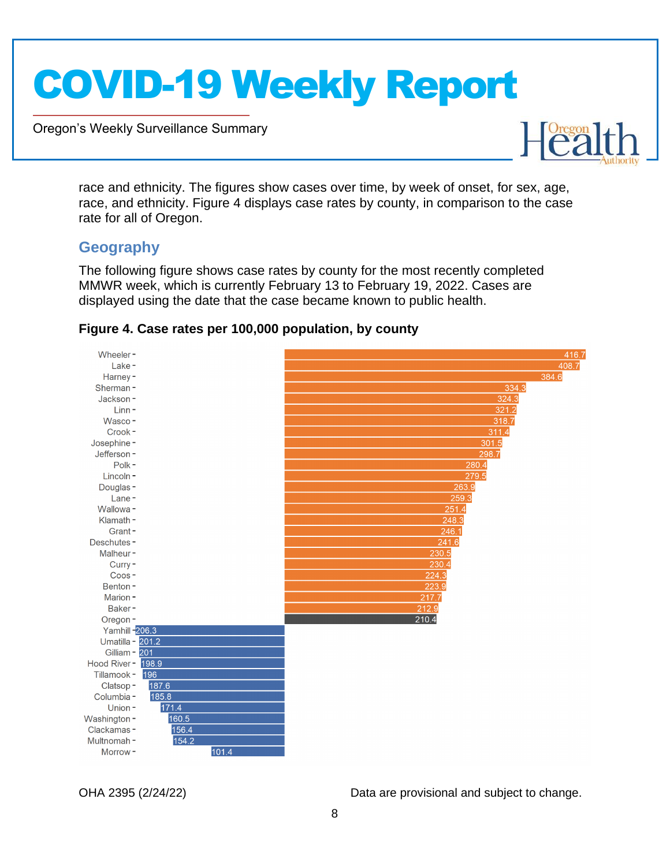Oregon's Weekly Surveillance Summary



race and ethnicity. The figures show cases over time, by week of onset, for sex, age, race, and ethnicity. Figure 4 displays case rates by county, in comparison to the case rate for all of Oregon.

#### <span id="page-7-0"></span>**Geography**

Novel Coronavirus (COVID-19)

The following figure shows case rates by county for the most recently completed MMWR week, which is currently February 13 to February 19, 2022. Cases are displayed using the date that the case became known to public health.

<span id="page-7-1"></span>

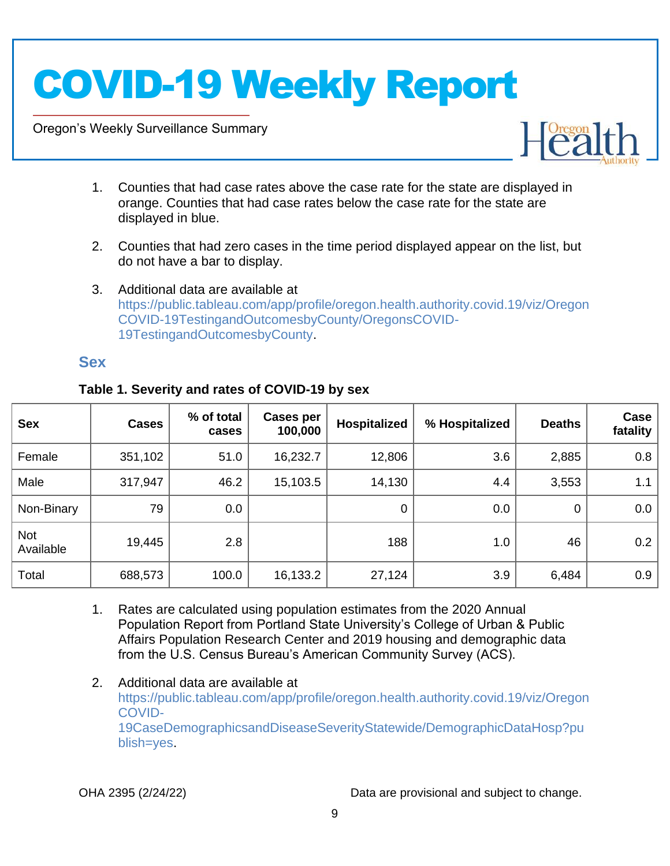Oregon's Weekly Surveillance Summary

Novel Coronavirus (COVID-19)



- 1. Counties that had case rates above the case rate for the state are displayed in orange. Counties that had case rates below the case rate for the state are displayed in blue.
- 2. Counties that had zero cases in the time period displayed appear on the list, but do not have a bar to display.
- 3. Additional data are available at [https://public.tableau.com/app/profile/oregon.health.authority.covid.19/viz/Oregon](https://public.tableau.com/app/profile/oregon.health.authority.covid.19/viz/OregonCOVID-19TestingandOutcomesbyCounty/OregonsCOVID-19TestingandOutcomesbyCounty) [COVID-19TestingandOutcomesbyCounty/OregonsCOVID-](https://public.tableau.com/app/profile/oregon.health.authority.covid.19/viz/OregonCOVID-19TestingandOutcomesbyCounty/OregonsCOVID-19TestingandOutcomesbyCounty)[19TestingandOutcomesbyCounty.](https://public.tableau.com/app/profile/oregon.health.authority.covid.19/viz/OregonCOVID-19TestingandOutcomesbyCounty/OregonsCOVID-19TestingandOutcomesbyCounty)

#### <span id="page-8-0"></span>**Sex**

| <b>Sex</b>              | <b>Cases</b> | % of total<br>cases | Cases per<br>100,000 | <b>Hospitalized</b> | % Hospitalized | <b>Deaths</b> | Case<br>fatality |
|-------------------------|--------------|---------------------|----------------------|---------------------|----------------|---------------|------------------|
| Female                  | 351,102      | 51.0                | 16,232.7             | 12,806              | 3.6            | 2,885         | 0.8              |
| Male                    | 317,947      | 46.2                | 15,103.5             | 14,130              | 4.4            | 3,553         | 1.1              |
| Non-Binary              | 79           | 0.0                 |                      | $\mathbf 0$         | 0.0            | $\mathbf 0$   | 0.0              |
| <b>Not</b><br>Available | 19,445       | 2.8                 |                      | 188                 | 1.0            | 46            | 0.2              |
| Total                   | 688,573      | 100.0               | 16,133.2             | 27,124              | 3.9            | 6,484         | 0.9              |

#### <span id="page-8-1"></span>**Table 1. Severity and rates of COVID-19 by sex**

- 1. Rates are calculated using population estimates from the 2020 Annual Population Report from Portland State University's College of Urban & Public Affairs Population Research Center and 2019 housing and demographic data from the U.S. Census Bureau's American Community Survey (ACS).
- 2. Additional data are available at [https://public.tableau.com/app/profile/oregon.health.authority.covid.19/viz/Oregon](https://public.tableau.com/app/profile/oregon.health.authority.covid.19/viz/OregonCOVID-19CaseDemographicsandDiseaseSeverityStatewide/DemographicDataHosp?publish=yes) [COVID-](https://public.tableau.com/app/profile/oregon.health.authority.covid.19/viz/OregonCOVID-19CaseDemographicsandDiseaseSeverityStatewide/DemographicDataHosp?publish=yes)[19CaseDemographicsandDiseaseSeverityStatewide/DemographicDataHosp?pu](https://public.tableau.com/app/profile/oregon.health.authority.covid.19/viz/OregonCOVID-19CaseDemographicsandDiseaseSeverityStatewide/DemographicDataHosp?publish=yes) [blish=yes.](https://public.tableau.com/app/profile/oregon.health.authority.covid.19/viz/OregonCOVID-19CaseDemographicsandDiseaseSeverityStatewide/DemographicDataHosp?publish=yes)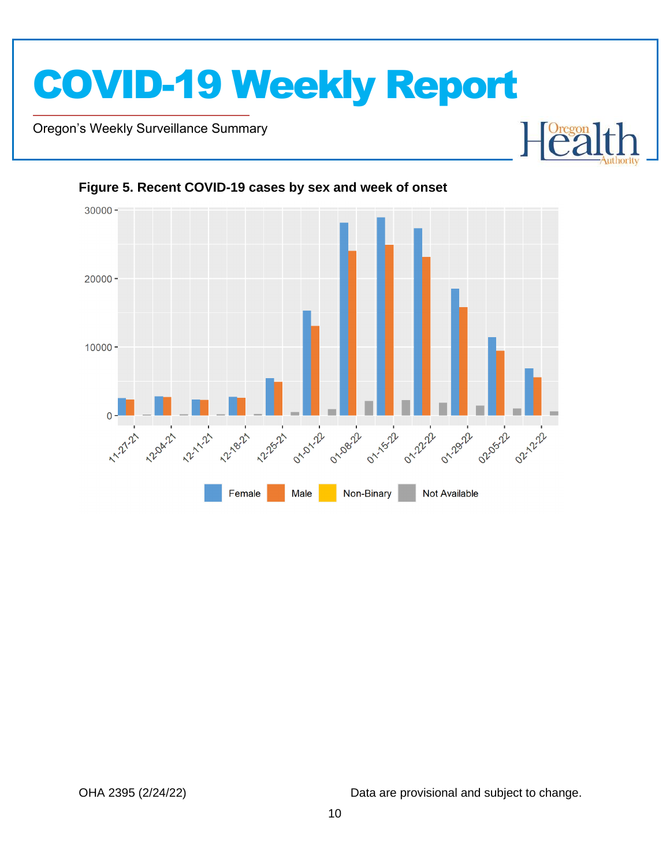

Oregon's Weekly Surveillance Summary

Novel Coronavirus (COVID-19)





#### <span id="page-9-0"></span>**Figure 5. Recent COVID-19 cases by sex and week of onset**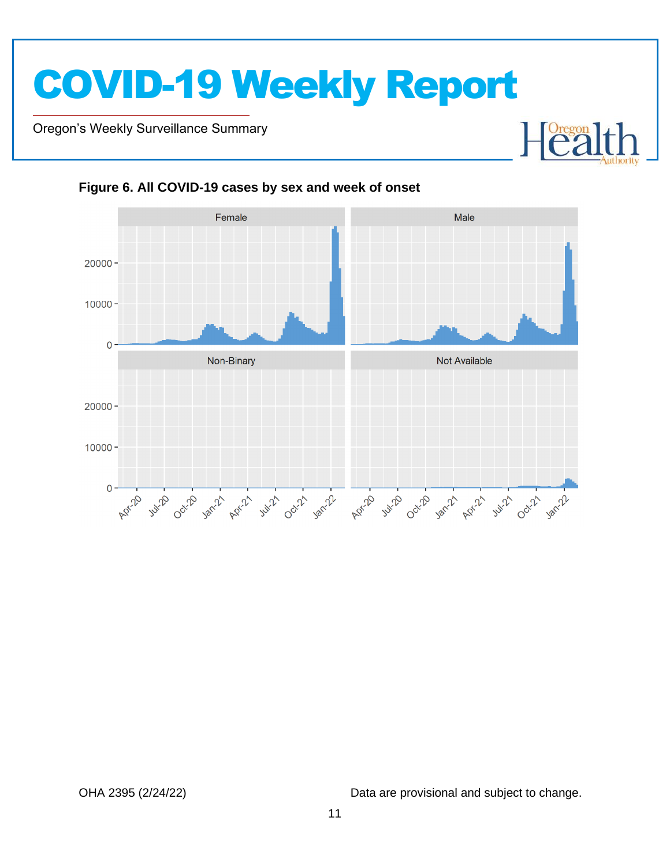Oregon's Weekly Surveillance Summary

Novel Coronavirus (COVID-19)



<span id="page-10-0"></span>**Figure 6. All COVID-19 cases by sex and week of onset**

OHA 2395 (2/24/22) Data are provisional and subject to change.

 $\begin{bmatrix} \text{Oregon} \\ \text{C2} \end{bmatrix}$ 

┠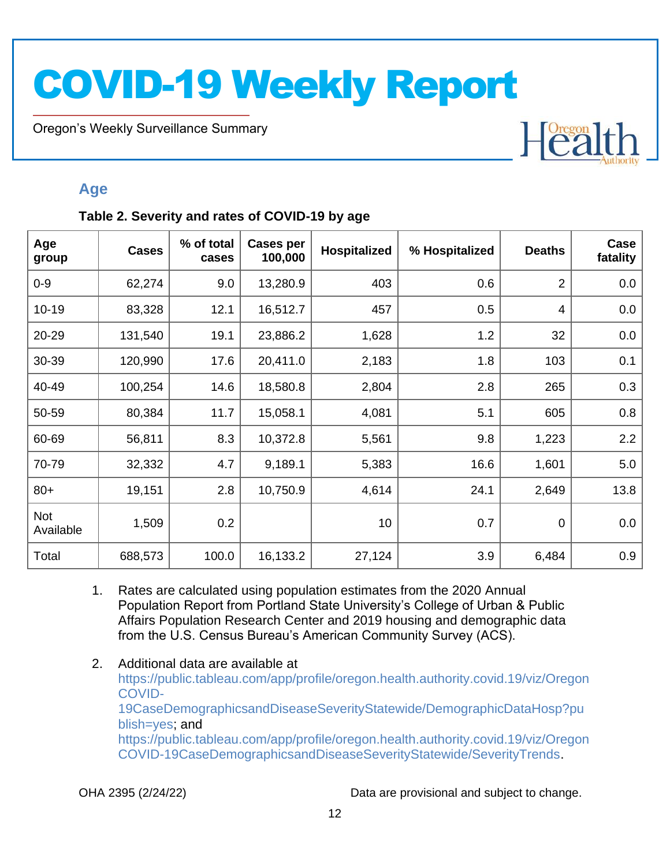Oregon's Weekly Surveillance Summary

Novel Coronavirus (COVID-19)

# Heal

### <span id="page-11-0"></span>**Age**

#### <span id="page-11-1"></span>**Table 2. Severity and rates of COVID-19 by age**

| Age<br>group            | <b>Cases</b> | % of total<br>cases | <b>Cases per</b><br>100,000 | <b>Hospitalized</b> | % Hospitalized | <b>Deaths</b>  | Case<br>fatality |
|-------------------------|--------------|---------------------|-----------------------------|---------------------|----------------|----------------|------------------|
| $0 - 9$                 | 62,274       | 9.0                 | 13,280.9                    | 403                 | 0.6            | $\overline{2}$ | 0.0              |
| $10 - 19$               | 83,328       | 12.1                | 16,512.7                    | 457                 | 0.5            | 4              | 0.0              |
| 20-29                   | 131,540      | 19.1                | 23,886.2                    | 1,628               | 1.2            | 32             | 0.0              |
| 30-39                   | 120,990      | 17.6                | 20,411.0                    | 2,183               | 1.8            | 103            | 0.1              |
| 40-49                   | 100,254      | 14.6                | 18,580.8                    | 2,804               | 2.8            | 265            | 0.3              |
| 50-59                   | 80,384       | 11.7                | 15,058.1                    | 4,081               | 5.1            | 605            | 0.8              |
| 60-69                   | 56,811       | 8.3                 | 10,372.8                    | 5,561               | 9.8            | 1,223          | 2.2              |
| 70-79                   | 32,332       | 4.7                 | 9,189.1                     | 5,383               | 16.6           | 1,601          | 5.0              |
| $80+$                   | 19,151       | 2.8                 | 10,750.9                    | 4,614               | 24.1           | 2,649          | 13.8             |
| <b>Not</b><br>Available | 1,509        | 0.2                 |                             | 10                  | 0.7            | $\mathbf 0$    | 0.0              |
| Total                   | 688,573      | 100.0               | 16,133.2                    | 27,124              | 3.9            | 6,484          | 0.9              |

- 1. Rates are calculated using population estimates from the 2020 Annual Population Report from Portland State University's College of Urban & Public Affairs Population Research Center and 2019 housing and demographic data from the U.S. Census Bureau's American Community Survey (ACS).
- 2. Additional data are available at [https://public.tableau.com/app/profile/oregon.health.authority.covid.19/viz/Oregon](https://public.tableau.com/app/profile/oregon.health.authority.covid.19/viz/OregonCOVID-19CaseDemographicsandDiseaseSeverityStatewide/DemographicDataHosp?publish=yes) [COVID-](https://public.tableau.com/app/profile/oregon.health.authority.covid.19/viz/OregonCOVID-19CaseDemographicsandDiseaseSeverityStatewide/DemographicDataHosp?publish=yes)[19CaseDemographicsandDiseaseSeverityStatewide/DemographicDataHosp?pu](https://public.tableau.com/app/profile/oregon.health.authority.covid.19/viz/OregonCOVID-19CaseDemographicsandDiseaseSeverityStatewide/DemographicDataHosp?publish=yes) [blish=yes;](https://public.tableau.com/app/profile/oregon.health.authority.covid.19/viz/OregonCOVID-19CaseDemographicsandDiseaseSeverityStatewide/DemographicDataHosp?publish=yes) and [https://public.tableau.com/app/profile/oregon.health.authority.covid.19/viz/Oregon](https://public.tableau.com/app/profile/oregon.health.authority.covid.19/viz/OregonCOVID-19CaseDemographicsandDiseaseSeverityStatewide/SeverityTrends) [COVID-19CaseDemographicsandDiseaseSeverityStatewide/SeverityTrends.](https://public.tableau.com/app/profile/oregon.health.authority.covid.19/viz/OregonCOVID-19CaseDemographicsandDiseaseSeverityStatewide/SeverityTrends)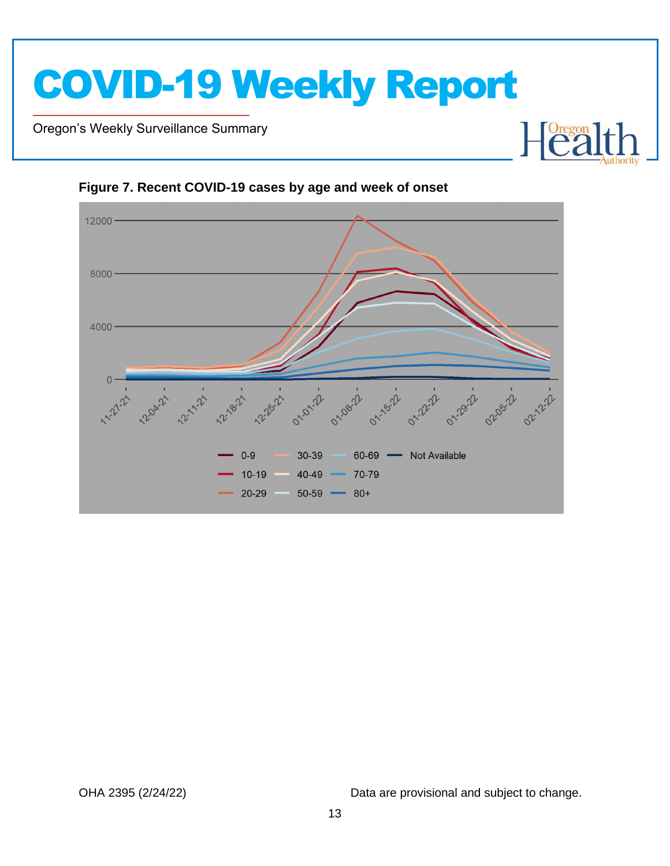

Oregon's Weekly Surveillance Summary

Novel Coronavirus (COVID-19)



<span id="page-12-0"></span>**Figure 7. Recent COVID-19 cases by age and week of onset**

OHA 2395 (2/24/22) Data are provisional and subject to change.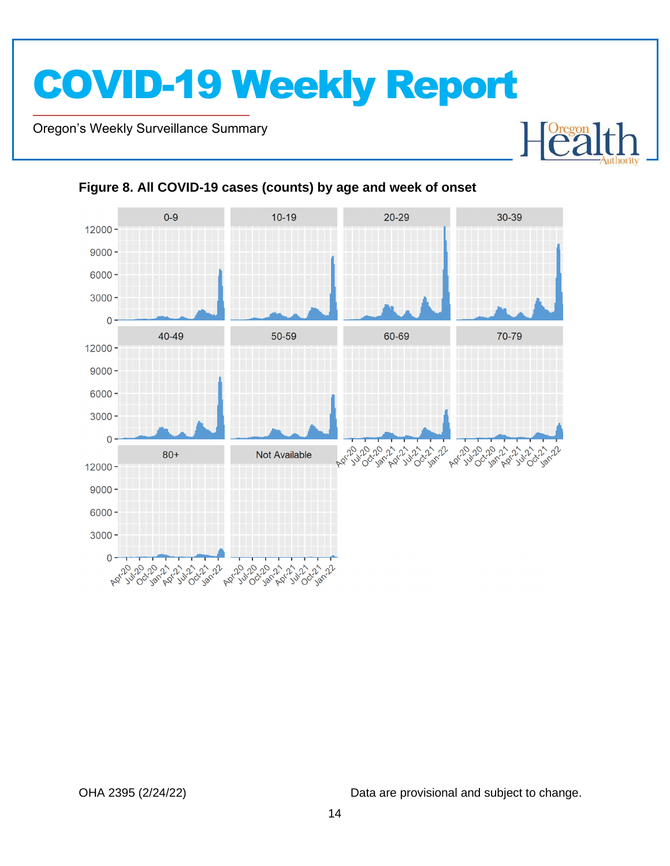Oregon's Weekly Surveillance Summary

Novel Coronavirus (COVID-19)



#### <span id="page-13-0"></span>**Figure 8. All COVID-19 cases (counts) by age and week of onset**

OHA 2395 (2/24/22) Data are provisional and subject to change.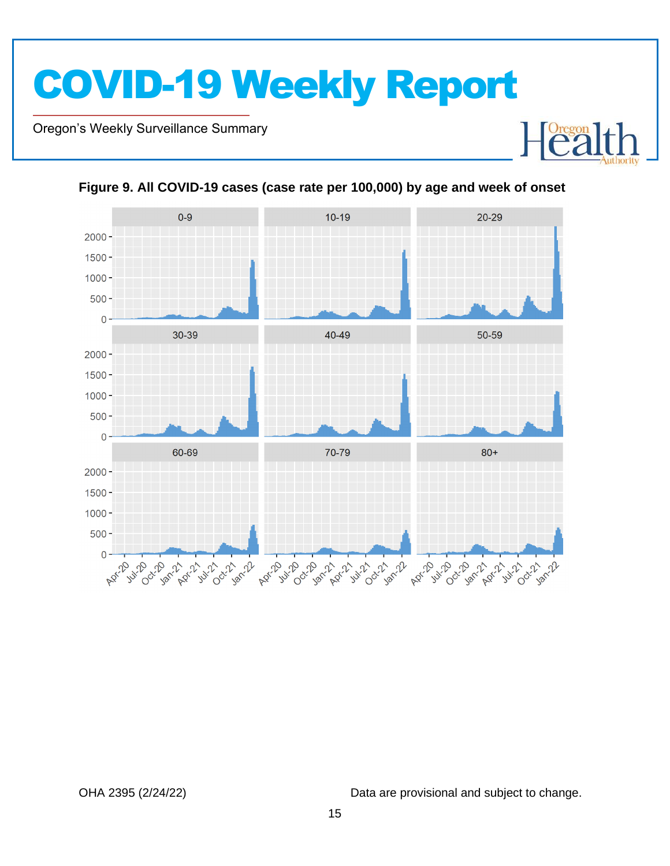Oregon's Weekly Surveillance Summary

Novel Coronavirus (COVID-19)



#### <span id="page-14-0"></span>**Figure 9. All COVID-19 cases (case rate per 100,000) by age and week of onset**

OHA 2395 (2/24/22) Data are provisional and subject to change.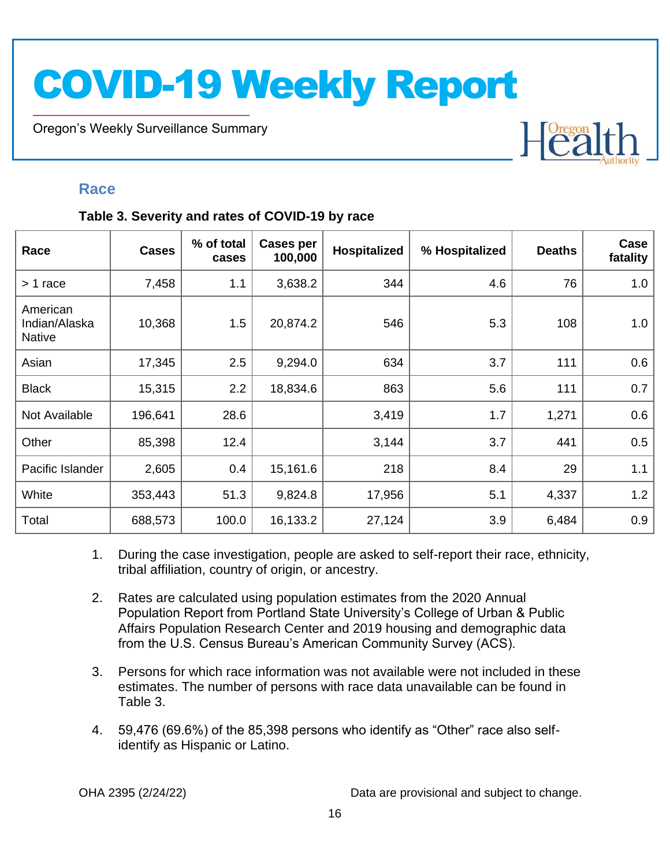Oregon's Weekly Surveillance Summary

## Heal

#### <span id="page-15-0"></span>**Race**

Novel Coronavirus (COVID-19)

#### <span id="page-15-1"></span>**Table 3. Severity and rates of COVID-19 by race**

| Race                                       | <b>Cases</b> | % of total<br>cases | <b>Cases per</b><br>100,000 | Hospitalized | % Hospitalized | <b>Deaths</b> | Case<br>fatality |
|--------------------------------------------|--------------|---------------------|-----------------------------|--------------|----------------|---------------|------------------|
| > 1 race                                   | 7,458        | 1.1                 | 3,638.2                     | 344          | 4.6            | 76            | 1.0              |
| American<br>Indian/Alaska<br><b>Native</b> | 10,368       | 1.5                 | 20,874.2                    | 546          | 5.3            | 108           | 1.0              |
| Asian                                      | 17,345       | 2.5                 | 9,294.0                     | 634          | 3.7            | 111           | 0.6              |
| <b>Black</b>                               | 15,315       | 2.2                 | 18,834.6                    | 863          | 5.6            | 111           | 0.7              |
| Not Available                              | 196,641      | 28.6                |                             | 3,419        | 1.7            | 1,271         | 0.6              |
| Other                                      | 85,398       | 12.4                |                             | 3,144        | 3.7            | 441           | 0.5              |
| Pacific Islander                           | 2,605        | 0.4                 | 15,161.6                    | 218          | 8.4            | 29            | 1.1              |
| White                                      | 353,443      | 51.3                | 9,824.8                     | 17,956       | 5.1            | 4,337         | 1.2              |
| Total                                      | 688,573      | 100.0               | 16,133.2                    | 27,124       | 3.9            | 6,484         | 0.9              |

- 1. During the case investigation, people are asked to self-report their race, ethnicity, tribal affiliation, country of origin, or ancestry.
- 2. Rates are calculated using population estimates from the 2020 Annual Population Report from Portland State University's College of Urban & Public Affairs Population Research Center and 2019 housing and demographic data from the U.S. Census Bureau's American Community Survey (ACS).
- 3. Persons for which race information was not available were not included in these estimates. The number of persons with race data unavailable can be found in Table 3.
- 4. 59,476 (69.6%) of the 85,398 persons who identify as "Other" race also selfidentify as Hispanic or Latino.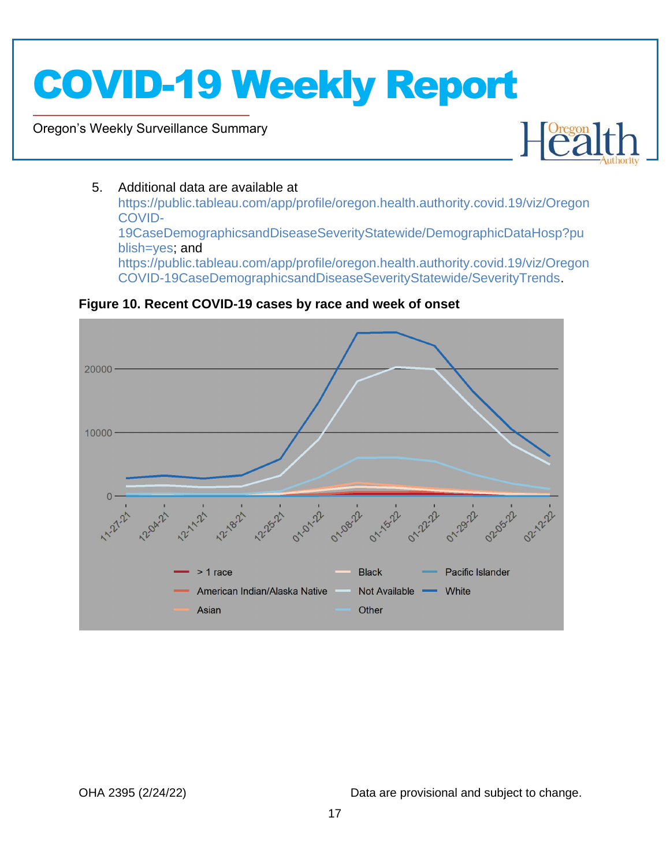Oregon's Weekly Surveillance Summary

Novel Coronavirus (COVID-19)



#### 5. Additional data are available at

[https://public.tableau.com/app/profile/oregon.health.authority.covid.19/viz/Oregon](https://public.tableau.com/app/profile/oregon.health.authority.covid.19/viz/OregonCOVID-19CaseDemographicsandDiseaseSeverityStatewide/DemographicDataHosp?publish=yes) [COVID-](https://public.tableau.com/app/profile/oregon.health.authority.covid.19/viz/OregonCOVID-19CaseDemographicsandDiseaseSeverityStatewide/DemographicDataHosp?publish=yes)[19CaseDemographicsandDiseaseSeverityStatewide/DemographicDataHosp?pu](https://public.tableau.com/app/profile/oregon.health.authority.covid.19/viz/OregonCOVID-19CaseDemographicsandDiseaseSeverityStatewide/DemographicDataHosp?publish=yes) [blish=yes;](https://public.tableau.com/app/profile/oregon.health.authority.covid.19/viz/OregonCOVID-19CaseDemographicsandDiseaseSeverityStatewide/DemographicDataHosp?publish=yes) and [https://public.tableau.com/app/profile/oregon.health.authority.covid.19/viz/Oregon](https://public.tableau.com/app/profile/oregon.health.authority.covid.19/viz/OregonCOVID-19CaseDemographicsandDiseaseSeverityStatewide/SeverityTrends) [COVID-19CaseDemographicsandDiseaseSeverityStatewide/SeverityTrends.](https://public.tableau.com/app/profile/oregon.health.authority.covid.19/viz/OregonCOVID-19CaseDemographicsandDiseaseSeverityStatewide/SeverityTrends)

<span id="page-16-0"></span>**Figure 10. Recent COVID-19 cases by race and week of onset**

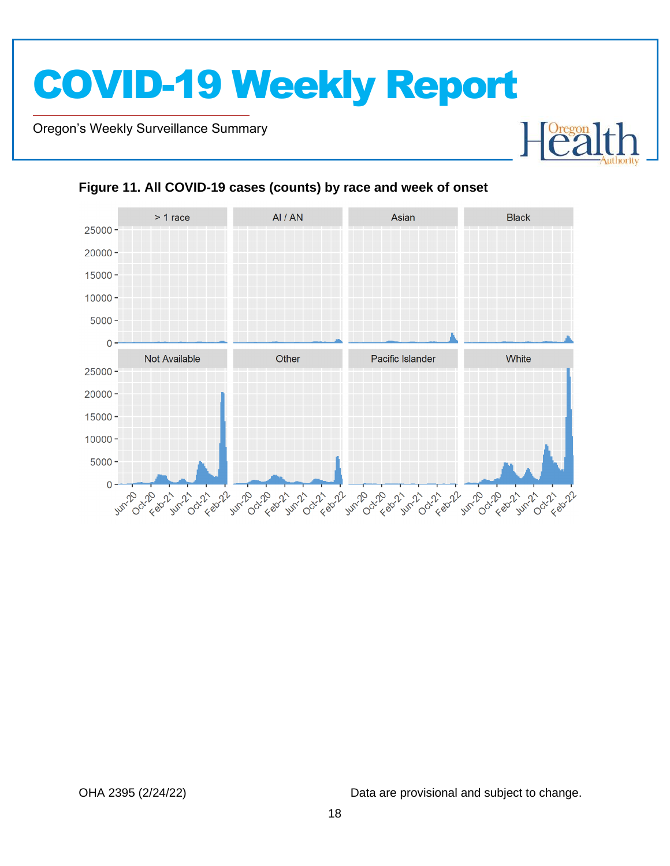Oregon's Weekly Surveillance Summary

Novel Coronavirus (COVID-19)



#### <span id="page-17-0"></span>**Figure 11. All COVID-19 cases (counts) by race and week of onset**

OHA 2395 (2/24/22) Data are provisional and subject to change.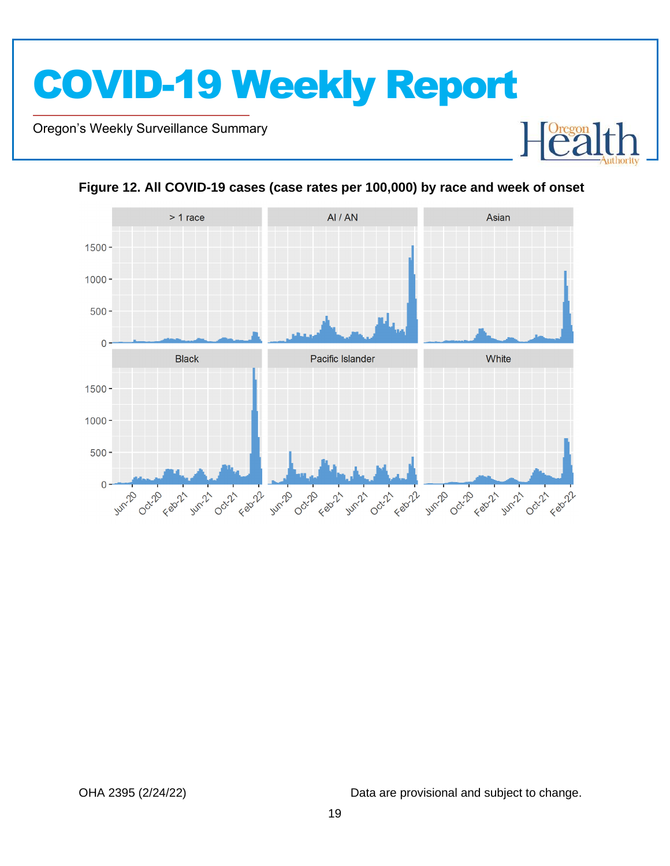Oregon's Weekly Surveillance Summary

Novel Coronavirus (COVID-19)





<span id="page-18-0"></span>**Figure 12. All COVID-19 cases (case rates per 100,000) by race and week of onset**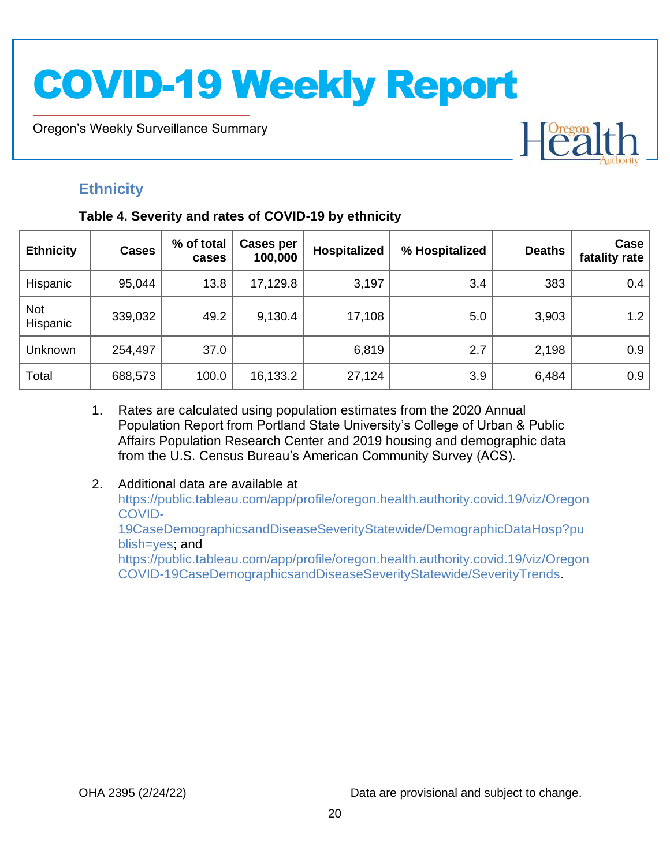Oregon's Weekly Surveillance Summary

## <span id="page-19-0"></span>**Ethnicity**

Novel Coronavirus (COVID-19)

#### <span id="page-19-1"></span>**Table 4. Severity and rates of COVID-19 by ethnicity**

| <b>Ethnicity</b>       | <b>Cases</b> | % of total<br>cases | Cases per<br>100,000 | Hospitalized | % Hospitalized | <b>Deaths</b> | Case<br>fatality rate |
|------------------------|--------------|---------------------|----------------------|--------------|----------------|---------------|-----------------------|
| Hispanic               | 95,044       | 13.8                | 17,129.8             | 3,197        | 3.4            | 383           | 0.4                   |
| <b>Not</b><br>Hispanic | 339,032      | 49.2                | 9,130.4              | 17,108       | 5.0            | 3,903         | 1.2                   |
| Unknown                | 254,497      | 37.0                |                      | 6,819        | 2.7            | 2,198         | 0.9                   |
| Total                  | 688,573      | 100.0               | 16,133.2             | 27,124       | 3.9            | 6,484         | 0.9                   |

- 1. Rates are calculated using population estimates from the 2020 Annual Population Report from Portland State University's College of Urban & Public Affairs Population Research Center and 2019 housing and demographic data from the U.S. Census Bureau's American Community Survey (ACS).
- 2. Additional data are available at [https://public.tableau.com/app/profile/oregon.health.authority.covid.19/viz/Oregon](https://public.tableau.com/app/profile/oregon.health.authority.covid.19/viz/OregonCOVID-19CaseDemographicsandDiseaseSeverityStatewide/DemographicDataHosp?publish=yes) [COVID-](https://public.tableau.com/app/profile/oregon.health.authority.covid.19/viz/OregonCOVID-19CaseDemographicsandDiseaseSeverityStatewide/DemographicDataHosp?publish=yes)[19CaseDemographicsandDiseaseSeverityStatewide/DemographicDataHosp?pu](https://public.tableau.com/app/profile/oregon.health.authority.covid.19/viz/OregonCOVID-19CaseDemographicsandDiseaseSeverityStatewide/DemographicDataHosp?publish=yes) [blish=yes;](https://public.tableau.com/app/profile/oregon.health.authority.covid.19/viz/OregonCOVID-19CaseDemographicsandDiseaseSeverityStatewide/DemographicDataHosp?publish=yes) and [https://public.tableau.com/app/profile/oregon.health.authority.covid.19/viz/Oregon](https://public.tableau.com/app/profile/oregon.health.authority.covid.19/viz/OregonCOVID-19CaseDemographicsandDiseaseSeverityStatewide/SeverityTrends) [COVID-19CaseDemographicsandDiseaseSeverityStatewide/SeverityTrends.](https://public.tableau.com/app/profile/oregon.health.authority.covid.19/viz/OregonCOVID-19CaseDemographicsandDiseaseSeverityStatewide/SeverityTrends)

OHA 2395 (2/24/22) Data are provisional and subject to change.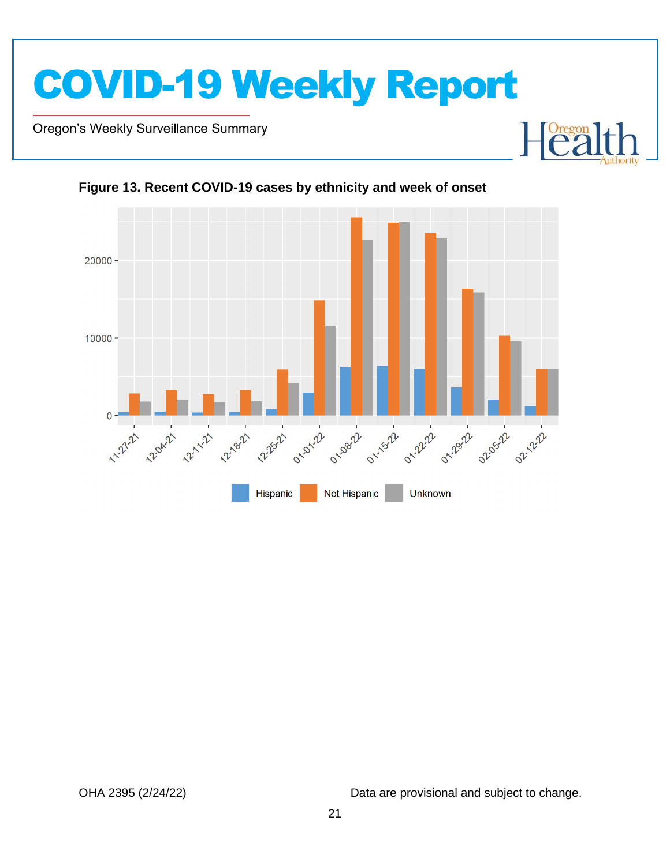

Oregon's Weekly Surveillance Summary

Novel Coronavirus (COVID-19)





<span id="page-20-0"></span>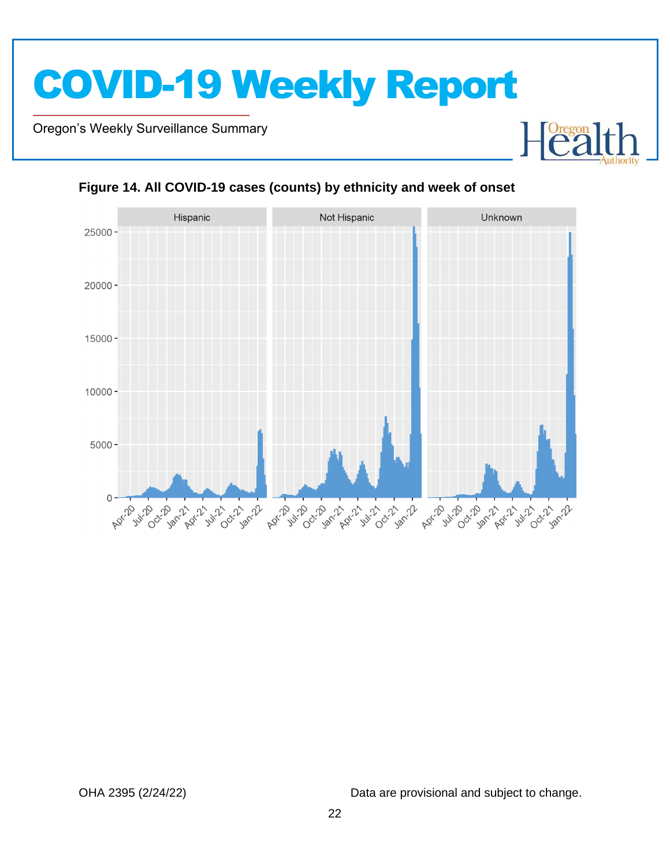Oregon's Weekly Surveillance Summary

Novel Coronavirus (COVID-19)





#### <span id="page-21-0"></span>**Figure 14. All COVID-19 cases (counts) by ethnicity and week of onset**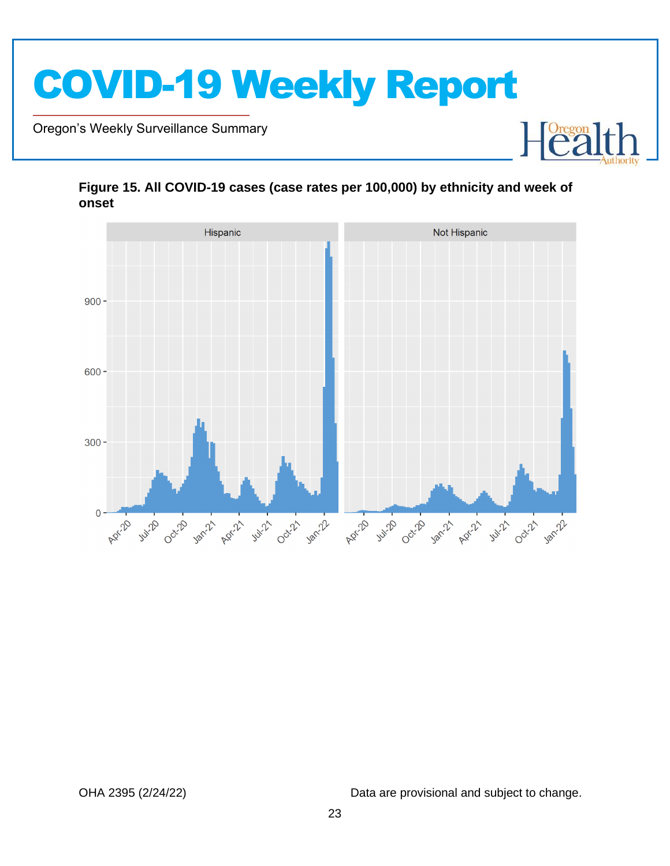

Oregon's Weekly Surveillance Summary

Novel Coronavirus (COVID-19)



#### <span id="page-22-0"></span>**Figure 15. All COVID-19 cases (case rates per 100,000) by ethnicity and week of onset**

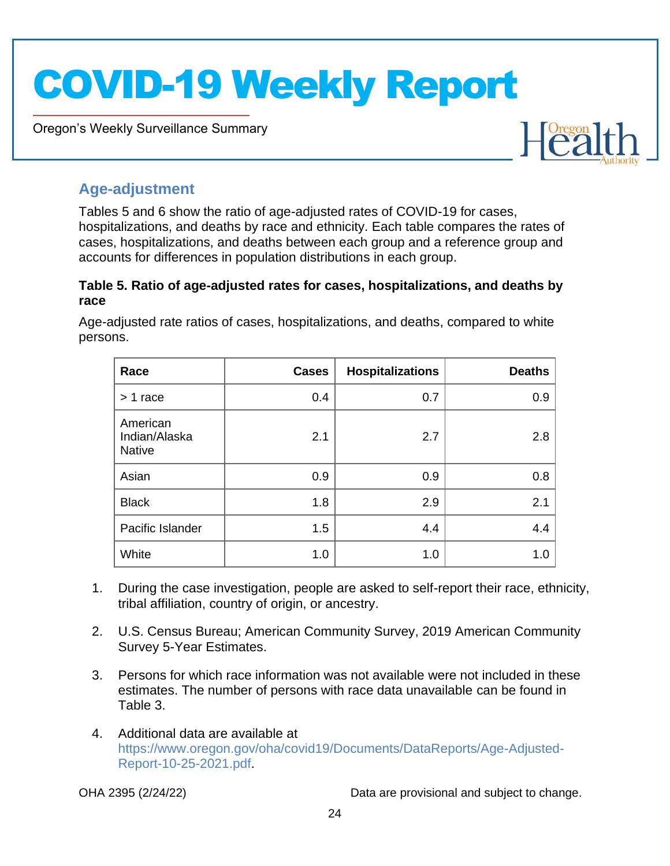Oregon's Weekly Surveillance Summary



### <span id="page-23-0"></span>**Age-adjustment**

Novel Coronavirus (COVID-19)

Tables 5 and 6 show the ratio of age-adjusted rates of COVID-19 for cases, hospitalizations, and deaths by race and ethnicity. Each table compares the rates of cases, hospitalizations, and deaths between each group and a reference group and accounts for differences in population distributions in each group.

#### <span id="page-23-1"></span>**Table 5. Ratio of age-adjusted rates for cases, hospitalizations, and deaths by race**

Age-adjusted rate ratios of cases, hospitalizations, and deaths, compared to white persons.

| Race                                       | <b>Cases</b> | <b>Hospitalizations</b> | <b>Deaths</b> |
|--------------------------------------------|--------------|-------------------------|---------------|
| $> 1$ race                                 | 0.4          | 0.7                     | 0.9           |
| American<br>Indian/Alaska<br><b>Native</b> | 2.1          | 2.7                     | 2.8           |
| Asian                                      | 0.9          | 0.9                     | 0.8           |
| <b>Black</b>                               | 1.8          | 2.9                     | 2.1           |
| Pacific Islander                           | 1.5          | 4.4                     | 4.4           |
| White                                      | 1.0          | 1.0                     | 1.0           |

- 1. During the case investigation, people are asked to self-report their race, ethnicity, tribal affiliation, country of origin, or ancestry.
- 2. U.S. Census Bureau; American Community Survey, 2019 American Community Survey 5-Year Estimates.
- 3. Persons for which race information was not available were not included in these estimates. The number of persons with race data unavailable can be found in Table 3.
- 4. Additional data are available at [https://www.oregon.gov/oha/covid19/Documents/DataReports/Age-Adjusted-](https://www.oregon.gov/oha/covid19/Documents/DataReports/Age-Adjusted-Report-10-25-2021.pdf)[Report-10-25-2021.pdf.](https://www.oregon.gov/oha/covid19/Documents/DataReports/Age-Adjusted-Report-10-25-2021.pdf)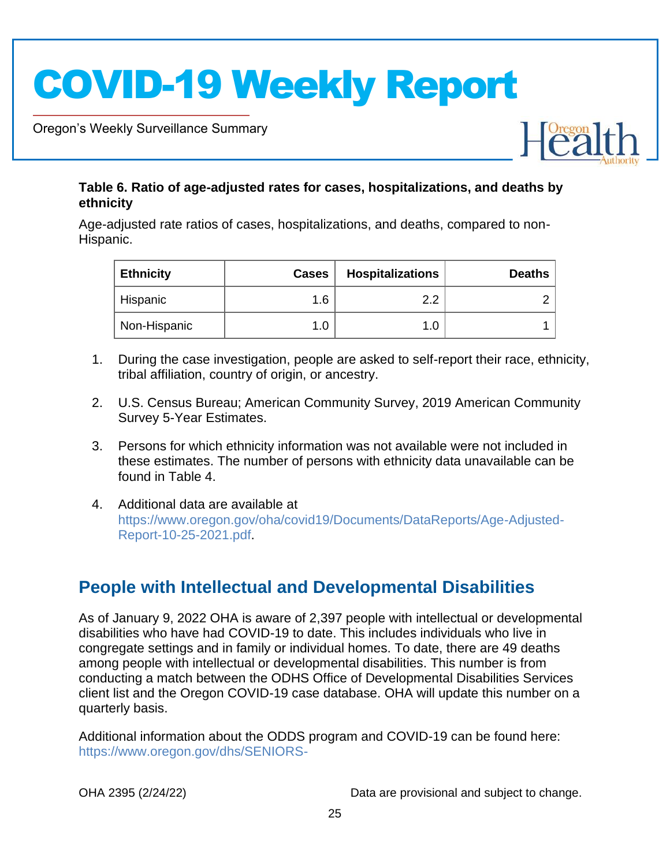Oregon's Weekly Surveillance Summary

Novel Coronavirus (COVID-19)



#### <span id="page-24-0"></span>**Table 6. Ratio of age-adjusted rates for cases, hospitalizations, and deaths by ethnicity**

Age-adjusted rate ratios of cases, hospitalizations, and deaths, compared to non-Hispanic.

| <b>Ethnicity</b> | <b>Cases</b> | <b>Hospitalizations</b> | <b>Deaths</b> |
|------------------|--------------|-------------------------|---------------|
| Hispanic         | 1.6          | ົດ.                     |               |
| Non-Hispanic     |              |                         |               |

- 1. During the case investigation, people are asked to self-report their race, ethnicity, tribal affiliation, country of origin, or ancestry.
- 2. U.S. Census Bureau; American Community Survey, 2019 American Community Survey 5-Year Estimates.
- 3. Persons for which ethnicity information was not available were not included in these estimates. The number of persons with ethnicity data unavailable can be found in Table 4.
- 4. Additional data are available at [https://www.oregon.gov/oha/covid19/Documents/DataReports/Age-Adjusted-](https://www.oregon.gov/oha/covid19/Documents/DataReports/Age-Adjusted-Report-10-25-2021.pdf)[Report-10-25-2021.pdf.](https://www.oregon.gov/oha/covid19/Documents/DataReports/Age-Adjusted-Report-10-25-2021.pdf)

## <span id="page-24-1"></span>**People with Intellectual and Developmental Disabilities**

As of January 9, 2022 OHA is aware of 2,397 people with intellectual or developmental disabilities who have had COVID-19 to date. This includes individuals who live in congregate settings and in family or individual homes. To date, there are 49 deaths among people with intellectual or developmental disabilities. This number is from conducting a match between the ODHS Office of Developmental Disabilities Services client list and the Oregon COVID-19 case database. OHA will update this number on a quarterly basis.

Additional information about the ODDS program and COVID-19 can be found here: [https://www.oregon.gov/dhs/SENIORS-](https://www.oregon.gov/dhs/SENIORS-DISABILITIES/DD/ODDS%20Resource%20Library/ODDS-Residential-COVID-19-Report.pdf)